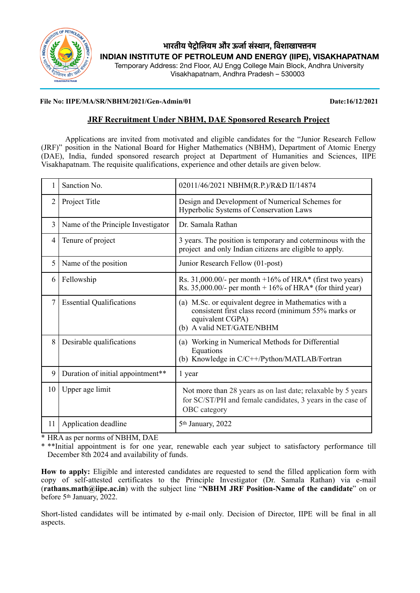

# **भारतीय पे)ोिलयम और ऊजा1सं4ान, िवशाखाप:नम INDIAN INSTITUTE OF PETROLEUM AND ENERGY (IIPE), VISAKHAPATNAM**

Temporary Address: 2nd Floor, AU Engg College Main Block, Andhra University Visakhapatnam, Andhra Pradesh – 530003

#### **File No: IIPE/MA/SR/NBHM/2021/Gen-Admin/01 Date:16/12/2021**

## **JRF Recruitment Under NBHM, DAE Sponsored Research Project**

Applications are invited from motivated and eligible candidates for the "Junior Research Fellow (JRF)" position in the National Board for Higher Mathematics (NBHM), Department of Atomic Energy (DAE), India, funded sponsored research project at Department of Humanities and Sciences, IIPE Visakhapatnam. The requisite qualifications, experience and other details are given below.

|                | Sanction No.                       | 02011/46/2021 NBHM(R.P.)/R&D II/14874                                                                                                                           |  |  |
|----------------|------------------------------------|-----------------------------------------------------------------------------------------------------------------------------------------------------------------|--|--|
| $\overline{2}$ | Project Title                      | Design and Development of Numerical Schemes for<br>Hyperbolic Systems of Conservation Laws                                                                      |  |  |
| 3              | Name of the Principle Investigator | Dr. Samala Rathan                                                                                                                                               |  |  |
| $\overline{4}$ | Tenure of project                  | 3 years. The position is temporary and coterminous with the<br>project and only Indian citizens are eligible to apply.                                          |  |  |
| 5              | Name of the position               | Junior Research Fellow (01-post)                                                                                                                                |  |  |
| 6              | Fellowship                         | Rs. 31,000.00/- per month $+16\%$ of HRA* (first two years)<br>Rs. 35,000.00/- per month $+16\%$ of HRA* (for third year)                                       |  |  |
| $\tau$         | <b>Essential Qualifications</b>    | M.Sc. or equivalent degree in Mathematics with a<br>(a)<br>consistent first class record (minimum 55% marks or<br>equivalent CGPA)<br>(b) A valid NET/GATE/NBHM |  |  |
| 8              | Desirable qualifications           | Working in Numerical Methods for Differential<br>(a)<br>Equations<br>(b) Knowledge in C/C++/Python/MATLAB/Fortran                                               |  |  |
| 9              | Duration of initial appointment**  | 1 year                                                                                                                                                          |  |  |
| 10             | Upper age limit                    | Not more than 28 years as on last date; relaxable by 5 years<br>for SC/ST/PH and female candidates, 3 years in the case of<br>OBC category                      |  |  |
| 11             | Application deadline               | 5 <sup>th</sup> January, 2022                                                                                                                                   |  |  |

\* HRA as per norms of NBHM, DAE

\* \*\*Initial appointment is for one year, renewable each year subject to satisfactory performance till December 8th 2024 and availability of funds.

**How to apply:** Eligible and interested candidates are requested to send the filled application form with copy of self-attested certificates to the Principle Investigator (Dr. Samala Rathan) via e-mail (**rathans.math@iipe.ac.in**) with the subject line "**NBHM JRF Position-Name of the candidate**" on or before 5th January, 2022.

Short-listed candidates will be intimated by e-mail only. Decision of Director, IIPE will be final in all aspects.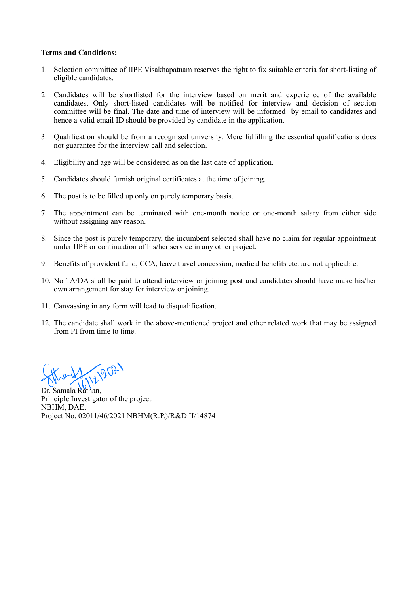#### **Terms and Conditions:**

- 1. Selection committee of IIPE Visakhapatnam reserves the right to fix suitable criteria for short-listing of eligible candidates.
- 2. Candidates will be shortlisted for the interview based on merit and experience of the available candidates. Only short-listed candidates will be notified for interview and decision of section committee will be final. The date and time of interview will be informed by email to candidates and hence a valid email ID should be provided by candidate in the application.
- 3. Qualification should be from a recognised university. Mere fulfilling the essential qualifications does not guarantee for the interview call and selection.
- 4. Eligibility and age will be considered as on the last date of application.
- 5. Candidates should furnish original certificates at the time of joining.
- 6. The post is to be filled up only on purely temporary basis.
- 7. The appointment can be terminated with one-month notice or one-month salary from either side without assigning any reason.
- 8. Since the post is purely temporary, the incumbent selected shall have no claim for regular appointment under IIPE or continuation of his/her service in any other project.
- 9. Benefits of provident fund, CCA, leave travel concession, medical benefits etc. are not applicable.
- 10. No TA/DA shall be paid to attend interview or joining post and candidates should have make his/her own arrangement for stay for interview or joining.
- 11. Canvassing in any form will lead to disqualification.
- 12. The candidate shall work in the above-mentioned project and other related work that may be assigned from PI from time to time.

99021

Dr. Samala Rathan Principle Investigator of the project NBHM, DAE. Project No. 02011/46/2021 NBHM(R.P.)/R&D II/14874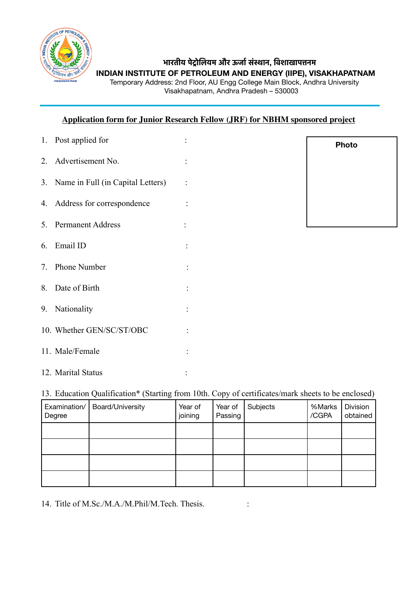

# **भारतीय पे)ोिलयम और ऊजा1सं4ान, िवशाखाप:नम**

**INDIAN INSTITUTE OF PETROLEUM AND ENERGY (IIPE), VISAKHAPATNAM** 

Temporary Address: 2nd Floor, AU Engg College Main Block, Andhra University Visakhapatnam, Andhra Pradesh – 530003

# **Application form for Junior Research Fellow (JRF) for NBHM sponsored project**

| 1. Post applied for                  |                |
|--------------------------------------|----------------|
| 2. Advertisement No.                 |                |
| 3. Name in Full (in Capital Letters) | $\ddot{\cdot}$ |
| 4. Address for correspondence        |                |
| 5. Permanent Address                 |                |
| 6. Email ID                          |                |
| 7. Phone Number                      |                |
| 8. Date of Birth                     |                |
| 9. Nationality                       |                |
| 10. Whether GEN/SC/ST/OBC            |                |
| 11. Male/Female                      |                |
| 12. Marital Status                   |                |

**Photo**

13. Education Qualification\* (Starting from 10th. Copy of certificates/mark sheets to be enclosed)

| Examination/<br>Degree | <b>Board/University</b> | Year of<br>joining | Year of<br>Passing | Subjects | %Marks<br>/CGPA | Division<br>obtained |
|------------------------|-------------------------|--------------------|--------------------|----------|-----------------|----------------------|
|                        |                         |                    |                    |          |                 |                      |
|                        |                         |                    |                    |          |                 |                      |
|                        |                         |                    |                    |          |                 |                      |
|                        |                         |                    |                    |          |                 |                      |

14. Title of M.Sc./M.A./M.Phil/M.Tech. Thesis. :